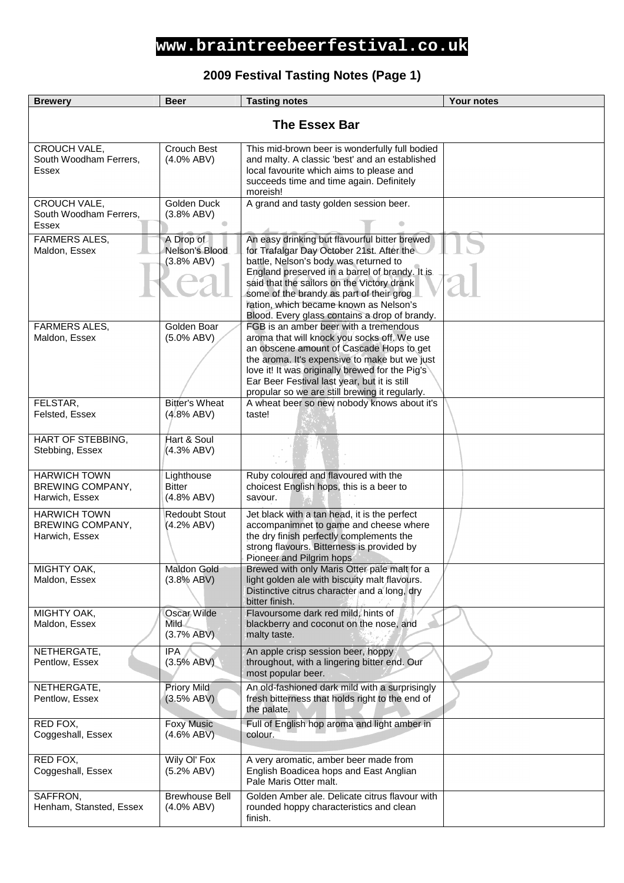#### **2009 Festival Tasting Notes (Page 1)**

| <b>Brewery</b>                                            | <b>Beer</b>                                  | <b>Tasting notes</b>                                                                                                                                                                                                                                                                                                                                                       | <b>Your notes</b> |
|-----------------------------------------------------------|----------------------------------------------|----------------------------------------------------------------------------------------------------------------------------------------------------------------------------------------------------------------------------------------------------------------------------------------------------------------------------------------------------------------------------|-------------------|
| <b>The Essex Bar</b>                                      |                                              |                                                                                                                                                                                                                                                                                                                                                                            |                   |
| CROUCH VALE,<br>South Woodham Ferrers,<br>Essex           | Crouch Best<br>$(4.0\%$ ABV)                 | This mid-brown beer is wonderfully full bodied<br>and malty. A classic 'best' and an established<br>local favourite which aims to please and<br>succeeds time and time again. Definitely<br>moreish!                                                                                                                                                                       |                   |
| CROUCH VALE,<br>South Woodham Ferrers,<br>Essex           | Golden Duck<br>(3.8% ABV)                    | A grand and tasty golden session beer.                                                                                                                                                                                                                                                                                                                                     |                   |
| <b>FARMERS ALES,</b><br>Maldon, Essex                     | A Drop of<br>Nelson's Blood<br>(3.8% ABV)    | An easy drinking but flavourful bitter brewed<br>for Trafalgar Day October 21st. After the<br>battle, Nelson's body was returned to<br>England preserved in a barrel of brandy. It is<br>said that the sailors on the Victory drank<br>some of the brandy as part of their grog<br>ration, which became known as Nelson's<br>Blood. Every glass contains a drop of brandy. |                   |
| <b>FARMERS ALES,</b><br>Maldon, Essex                     | Golden Boar<br>$(5.0\%$ ABV)                 | FGB is an amber beer with a tremendous<br>aroma that will knock you socks off. We use<br>an obscene amount of Cascade Hops to get<br>the aroma. It's expensive to make but we just<br>love it! It was originally brewed for the Pig's<br>Ear Beer Festival last year, but it is still<br>propular so we are still brewing it regularly.                                    |                   |
| FELSTAR,<br>Felsted, Essex                                | <b>Bitter's Wheat</b><br>$(4.8\%$ ABV)       | A wheat beer so new nobody knows about it's<br>taste!                                                                                                                                                                                                                                                                                                                      |                   |
| HART OF STEBBING,<br>Stebbing, Essex                      | Hart & Soul<br>(4.3% ABV)                    |                                                                                                                                                                                                                                                                                                                                                                            |                   |
| <b>HARWICH TOWN</b><br>BREWING COMPANY,<br>Harwich, Essex | Lighthouse<br><b>Bitter</b><br>$(4.8\%$ ABV) | Ruby coloured and flavoured with the<br>choicest English hops, this is a beer to<br>savour.                                                                                                                                                                                                                                                                                |                   |
| <b>HARWICH TOWN</b><br>BREWING COMPANY,<br>Harwich, Essex | <b>Redoubt Stout</b><br>(4.2% ABV)           | Jet black with a tan head, it is the perfect<br>accompanimnet to game and cheese where<br>the dry finish perfectly complements the<br>strong flavours. Bitterness is provided by<br>Pioneer and Pilgrim hops                                                                                                                                                               |                   |
| MIGHTY OAK,<br>Maldon, Essex                              | Maldon Gold<br>(3.8% ABV)                    | Brewed with only Maris Otter pale malt for a<br>light golden ale with biscuity malt flavours.<br>Distinctive citrus character and a long, dry<br>bitter finish.                                                                                                                                                                                                            |                   |
| MIGHTY OAK,<br>Maldon, Essex                              | Oscar Wilde<br><b>Mild</b><br>(3.7% ABV)     | Flavoursome dark red mild, hints of<br>blackberry and coconut on the nose, and<br>malty taste.                                                                                                                                                                                                                                                                             |                   |
| NETHERGATE,<br>Pentlow, Essex                             | <b>IPA</b><br>(3.5% ABV)                     | An apple crisp session beer, hoppy<br>throughout, with a lingering bitter end. Our<br>most popular beer.                                                                                                                                                                                                                                                                   |                   |
| NETHERGATE,<br>Pentlow, Essex                             | <b>Priory Mild</b><br>(3.5% ABV)             | An old-fashioned dark mild with a surprisingly<br>fresh bitterness that holds right to the end of<br>the palate.                                                                                                                                                                                                                                                           |                   |
| RED FOX,<br>Coggeshall, Essex                             | <b>Foxy Music</b><br>$(4.6\% ABV)$           | Full of English hop aroma and light amber in<br>colour.                                                                                                                                                                                                                                                                                                                    |                   |
| RED FOX,<br>Coggeshall, Essex                             | Wily OI' Fox<br>(5.2% ABV)                   | A very aromatic, amber beer made from<br>English Boadicea hops and East Anglian<br>Pale Maris Otter malt.                                                                                                                                                                                                                                                                  |                   |
| SAFFRON,<br>Henham, Stansted, Essex                       | <b>Brewhouse Bell</b><br>$(4.0\%$ ABV)       | Golden Amber ale. Delicate citrus flavour with<br>rounded hoppy characteristics and clean<br>finish.                                                                                                                                                                                                                                                                       |                   |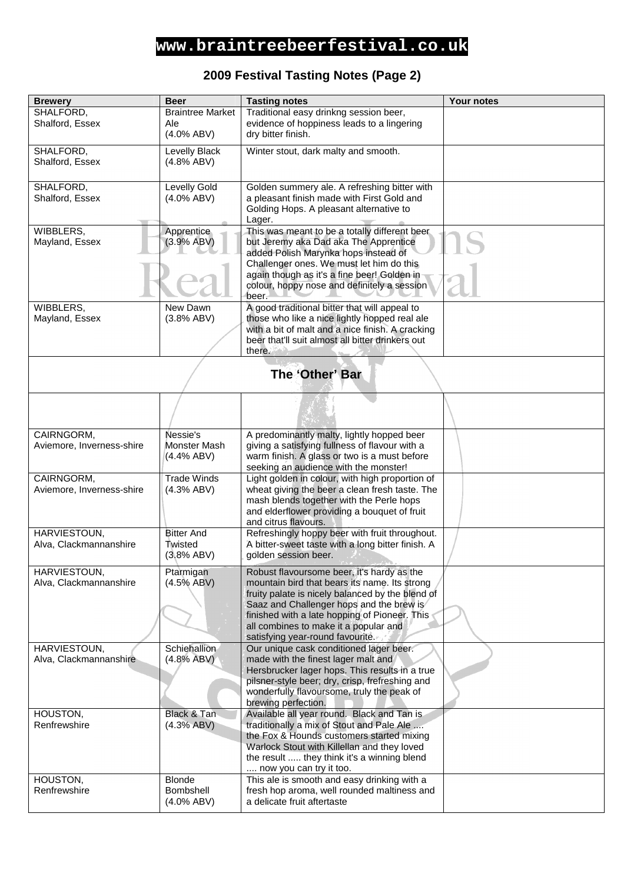#### **2009 Festival Tasting Notes (Page 2)**

| <b>Brewery</b>            | <b>Beer</b>             | <b>Tasting notes</b>                                                                       | Your notes |
|---------------------------|-------------------------|--------------------------------------------------------------------------------------------|------------|
| SHALFORD,                 | <b>Braintree Market</b> | Traditional easy drinkng session beer,                                                     |            |
| Shalford, Essex           | Ale                     | evidence of hoppiness leads to a lingering                                                 |            |
|                           | $(4.0\%$ ABV)           | dry bitter finish.                                                                         |            |
| SHALFORD,                 | Levelly Black           | Winter stout, dark malty and smooth.                                                       |            |
| Shalford, Essex           | (4.8% ABV)              |                                                                                            |            |
|                           |                         |                                                                                            |            |
| SHALFORD,                 | <b>Levelly Gold</b>     | Golden summery ale. A refreshing bitter with                                               |            |
| Shalford, Essex           | $(4.0\%$ ABV)           | a pleasant finish made with First Gold and                                                 |            |
|                           |                         | Golding Hops. A pleasant alternative to                                                    |            |
|                           |                         | Lager.                                                                                     |            |
| WIBBLERS,                 | Apprentice              | This was meant to be a totally different beer                                              |            |
| Mayland, Essex            | (3.9% ABV)              | but Jeremy aka Dad aka The Apprentice                                                      |            |
|                           |                         | added Polish Marynka hops instead of                                                       |            |
|                           |                         | Challenger ones. We must let him do this<br>again though as it's a fine beer! Golden in    |            |
|                           |                         | colour, hoppy nose and definitely a session                                                |            |
|                           |                         | beer.                                                                                      |            |
| WIBBLERS,                 | New Dawn                | A good traditional bitter that will appeal to                                              |            |
| Mayland, Essex            | (3.8% ABV)              | those who like a nice lightly hopped real ale                                              |            |
|                           |                         | with a bit of malt and a nice finish. A cracking                                           |            |
|                           |                         | beer that'll suit almost all bitter drinkers out                                           |            |
|                           |                         | there.                                                                                     |            |
|                           |                         |                                                                                            |            |
|                           |                         | The 'Other' Bar                                                                            |            |
|                           |                         |                                                                                            |            |
|                           |                         |                                                                                            |            |
|                           |                         |                                                                                            |            |
| CAIRNGORM,                | Nessie's                | A predominantly malty, lightly hopped beer                                                 |            |
| Aviemore, Inverness-shire | Monster Mash            | giving a satisfying fullness of flavour with a                                             |            |
|                           | (4.4% ABV)              | warm finish. A glass or two is a must before                                               |            |
|                           |                         | seeking an audience with the monster!                                                      |            |
| CAIRNGORM,                | <b>Trade Winds</b>      | Light golden in colour, with high proportion of                                            |            |
| Aviemore, Inverness-shire | (4.3% ABV)              | wheat giving the beer a clean fresh taste. The<br>mash blends together with the Perle hops |            |
|                           |                         | and elderflower providing a bouquet of fruit                                               |            |
|                           |                         | and citrus flavours.                                                                       |            |
| HARVIESTOUN,              | <b>Bitter And</b>       | Refreshingly hoppy beer with fruit throughout.                                             |            |
| Alva, Clackmannanshire    | Twisted                 | A bitter-sweet taste with a long bitter finish. A                                          |            |
|                           | (3.8% ABV)              | golden session beer.                                                                       |            |
| HARVIESTOUN,              | Ptarmigan               | Robust flavoursome beer, it's hardy as the                                                 |            |
| Alva, Clackmannanshire    | $(4.5\%$ ABV)           | mountain bird that bears its name. Its strong                                              |            |
|                           |                         | fruity palate is nicely balanced by the blend of                                           |            |
|                           |                         | Saaz and Challenger hops and the brew is                                                   |            |
|                           |                         | finished with a late hopping of Pioneer. This                                              |            |
|                           |                         | all combines to make it a popular and                                                      |            |
| HARVIESTOUN,              | Schiehallion            | satisfying year-round favourite.<br>Our unique cask conditioned lager beer.                |            |
| Alva, Clackmannanshire    | (4.8% ABV)              | made with the finest lager malt and                                                        |            |
|                           |                         | Hersbrucker lager hops. This results in a true                                             |            |
|                           |                         | pilsner-style beer; dry, crisp, frefreshing and                                            |            |
|                           |                         | wonderfully flavoursome, truly the peak of                                                 |            |
|                           |                         | brewing perfection.                                                                        |            |
| HOUSTON,                  | Black & Tan             | Available all year round. Black and Tan is                                                 |            |
| Renfrewshire              | (4.3% ABV)              | traditionally a mix of Stout and Pale Ale<br>the Fox & Hounds customers started mixing     |            |
|                           |                         | Warlock Stout with Killellan and they loved                                                |            |
|                           |                         | the result  they think it's a winning blend                                                |            |
|                           |                         | now you can try it too.                                                                    |            |
| HOUSTON,                  | <b>Blonde</b>           | This ale is smooth and easy drinking with a                                                |            |
| Renfrewshire              | Bombshell               | fresh hop aroma, well rounded maltiness and                                                |            |
|                           | $(4.0\%$ ABV)           | a delicate fruit aftertaste                                                                |            |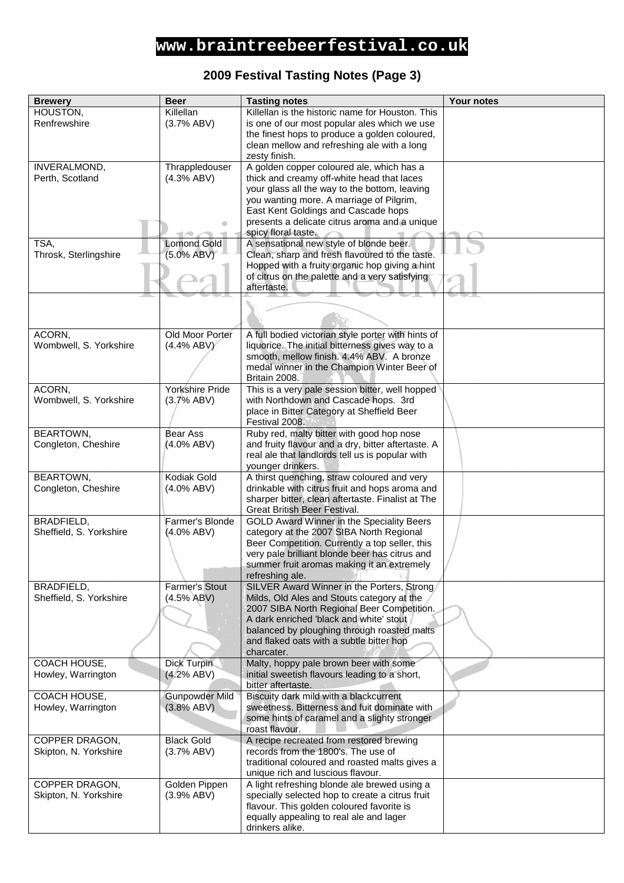#### **2009 Festival Tasting Notes (Page 3)**

| <b>Brewery</b>          | <b>Beer</b>           | <b>Tasting notes</b>                                                                    | <b>Your notes</b> |
|-------------------------|-----------------------|-----------------------------------------------------------------------------------------|-------------------|
| HOUSTON,                | Killellan             | Killellan is the historic name for Houston. This                                        |                   |
| Renfrewshire            | (3.7% ABV)            | is one of our most popular ales which we use                                            |                   |
|                         |                       | the finest hops to produce a golden coloured,                                           |                   |
|                         |                       | clean mellow and refreshing ale with a long                                             |                   |
|                         |                       | zesty finish.                                                                           |                   |
| INVERALMOND,            | Thrappledouser        | A golden copper coloured ale, which has a                                               |                   |
| Perth, Scotland         | (4.3% ABV)            | thick and creamy off-white head that laces                                              |                   |
|                         |                       | your glass all the way to the bottom, leaving                                           |                   |
|                         |                       | you wanting more. A marriage of Pilgrim,<br>East Kent Goldings and Cascade hops         |                   |
|                         | ۸                     | presents a delicate citrus aroma and a unique                                           |                   |
|                         |                       | spicy floral taste.                                                                     |                   |
| TSA,                    | <b>Lomond Gold</b>    | A sensational new style of blonde beer.                                                 |                   |
| Throsk, Sterlingshire   | (5.0% ABV)            | Clean, sharp and fresh flavoured to the taste.                                          |                   |
|                         |                       | Hopped with a fruity organic hop giving a hint                                          |                   |
|                         |                       | of citrus on the palette and a very satisfying                                          |                   |
|                         |                       | aftertaste.                                                                             |                   |
|                         |                       |                                                                                         |                   |
|                         |                       |                                                                                         |                   |
|                         |                       |                                                                                         |                   |
| ACORN,                  | Old Moor Porter       | A full bodied victorian style porter with hints of                                      |                   |
| Wombwell, S. Yorkshire  | $(4.4\% ABV)$         | liquorice. The initial bitterness gives way to a                                        |                   |
|                         |                       | smooth, mellow finish. 4.4% ABV. A bronze                                               |                   |
|                         |                       | medal winner in the Champion Winter Beer of<br>Britain 2008.                            |                   |
| ACORN,                  | Yorkshire Pride       | This is a very pale session bitter, well hopped                                         |                   |
| Wombwell, S. Yorkshire  | (3.7% ABV)            | with Northdown and Cascade hops. 3rd                                                    |                   |
|                         |                       | place in Bitter Category at Sheffield Beer                                              |                   |
|                         |                       | Festival 2008.                                                                          |                   |
| BEARTOWN,               | Bear Ass              | Ruby red, malty bitter with good hop nose                                               |                   |
| Congleton, Cheshire     | (4.0% ABV)            | and fruity flavour and a dry, bitter aftertaste. A                                      |                   |
|                         |                       | real ale that landlords tell us is popular with                                         |                   |
|                         |                       | younger drinkers.                                                                       |                   |
| <b>BEARTOWN,</b>        | Kodiak Gold           | A thirst quenching, straw coloured and very                                             |                   |
| Congleton, Cheshire     | $(4.0\%$ ABV)         | drinkable with citrus fruit and hops aroma and                                          |                   |
|                         |                       | sharper bitter, clean aftertaste. Finalist at The                                       |                   |
| BRADFIELD,              | Farmer's Blonde       | Great British Beer Festival.<br>GOLD Award Winner in the Speciality Beers               |                   |
| Sheffield, S. Yorkshire | (4.0% ABV)            | category at the 2007 SIBA North Regional                                                |                   |
|                         |                       | Beer Competition. Currently a top seller, this                                          |                   |
|                         |                       | very pale brilliant blonde beer has citrus and                                          |                   |
|                         |                       | summer fruit aromas making it an extremely                                              |                   |
|                         |                       | refreshing ale.                                                                         |                   |
| BRADFIELD,              | <b>Farmer's Stout</b> | SILVER Award Winner in the Porters, Strong/                                             |                   |
| Sheffield, S. Yorkshire | $(4.5\%$ ABV)         | Milds, Old Ales and Stouts category at the                                              |                   |
|                         |                       | 2007 SIBA North Regional Beer Competition.                                              |                   |
|                         |                       | A dark enriched 'black and white' stout                                                 |                   |
|                         |                       | balanced by ploughing through roasted malts<br>and flaked oats with a subtle bitter hop |                   |
|                         |                       | charcater.                                                                              |                   |
| COACH HOUSE,            | <b>Dick Turpin</b>    | Malty, hoppy pale brown beer with some                                                  |                   |
| Howley, Warrington      | (4.2% ABV)            | initial sweetish flavours leading to a short,                                           |                   |
|                         |                       | bitter aftertaste.                                                                      |                   |
| COACH HOUSE,            | <b>Gunpowder Mild</b> | Biscuity dark mild with a blackcurrent                                                  |                   |
| Howley, Warrington      | (3.8% ABV)            | sweetness. Bitterness and fuit dominate with                                            |                   |
|                         |                       | some hints of caramel and a slighty stronger                                            |                   |
|                         |                       | roast flavour.                                                                          |                   |
| COPPER DRAGON,          | <b>Black Gold</b>     | A recipe recreated from restored brewing                                                |                   |
| Skipton, N. Yorkshire   | (3.7% ABV)            | records from the 1800's. The use of                                                     |                   |
|                         |                       | traditional coloured and roasted malts gives a<br>unique rich and luscious flavour.     |                   |
| COPPER DRAGON,          | Golden Pippen         | A light refreshing blonde ale brewed using a                                            |                   |
| Skipton, N. Yorkshire   | (3.9% ABV)            | specially selected hop to create a citrus fruit                                         |                   |
|                         |                       | flavour. This golden coloured favorite is                                               |                   |
|                         |                       | equally appealing to real ale and lager                                                 |                   |
|                         |                       | drinkers alike.                                                                         |                   |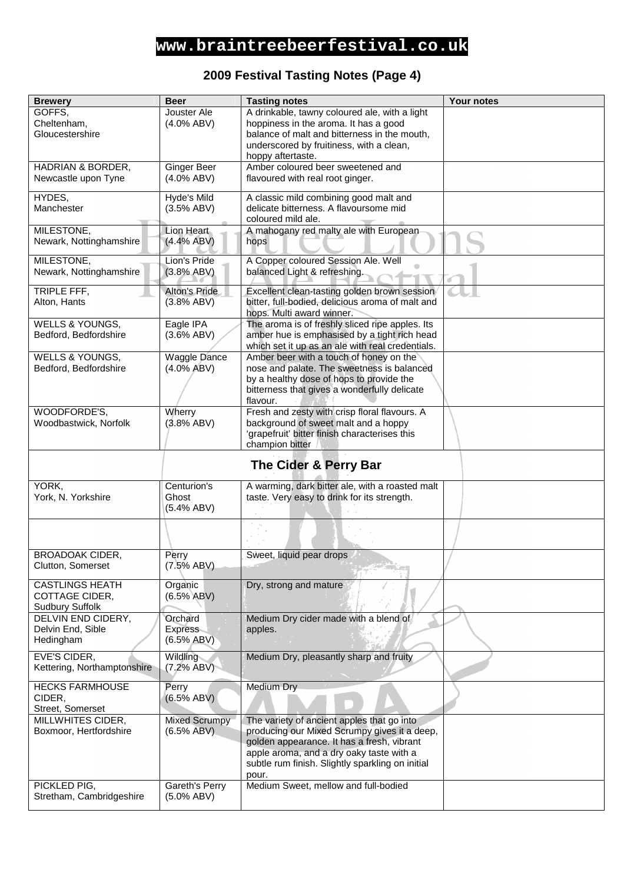#### **2009 Festival Tasting Notes (Page 4)**

| <b>Brewery</b>              | <b>Beer</b>          | <b>Tasting notes</b>                                                             | <b>Your notes</b> |
|-----------------------------|----------------------|----------------------------------------------------------------------------------|-------------------|
| GOFFS,                      | Jouster Ale          | A drinkable, tawny coloured ale, with a light                                    |                   |
| Cheltenham,                 | $(4.0\%$ ABV)        | hoppiness in the aroma. It has a good                                            |                   |
| Gloucestershire             |                      | balance of malt and bitterness in the mouth,                                     |                   |
|                             |                      | underscored by fruitiness, with a clean,                                         |                   |
|                             |                      | hoppy aftertaste.                                                                |                   |
| HADRIAN & BORDER,           | <b>Ginger Beer</b>   | Amber coloured beer sweetened and                                                |                   |
| Newcastle upon Tyne         | $(4.0\%$ ABV)        | flavoured with real root ginger.                                                 |                   |
| HYDES,                      | Hyde's Mild          |                                                                                  |                   |
| Manchester                  | (3.5% ABV)           | A classic mild combining good malt and<br>delicate bitterness. A flavoursome mid |                   |
|                             |                      | coloured mild ale.                                                               |                   |
| MILESTONE,                  | Lion Heart           | A mahogany red malty ale with European                                           |                   |
| Newark, Nottinghamshire     | (4.4% ABV)           | hops                                                                             |                   |
|                             |                      |                                                                                  |                   |
| MILESTONE,                  | Lion's Pride         | A Copper coloured Session Ale. Well                                              |                   |
| Newark, Nottinghamshire     | (3.8% ABV)           | balanced Light & refreshing.                                                     |                   |
| TRIPLE FFF,                 | Alton's Pride        | Excellent clean-tasting golden brown session                                     |                   |
| Alton, Hants                | (3.8% ABV)           | bitter, full-bodied, delicious aroma of malt and                                 |                   |
|                             |                      | hops. Multi award winner.                                                        |                   |
| WELLS & YOUNGS,             | Eagle IPA            | The aroma is of freshly sliced ripe apples. Its                                  |                   |
| Bedford, Bedfordshire       | $(3.6\%$ ABV)        | amber hue is emphasised by a tight rich head                                     |                   |
|                             |                      | which set it up as an ale with real credentials.                                 |                   |
| WELLS & YOUNGS,             | <b>Waggle Dance</b>  | Amber beer with a touch of honey on the                                          |                   |
| Bedford, Bedfordshire       | (4.0% ABV)           | nose and palate. The sweetness is balanced                                       |                   |
|                             |                      | by a healthy dose of hops to provide the                                         |                   |
|                             |                      | bitterness that gives a wonderfully delicate                                     |                   |
|                             |                      | flavour.                                                                         |                   |
| WOODFORDE'S,                | Wherry               | Fresh and zesty with crisp floral flavours. A                                    |                   |
| Woodbastwick, Norfolk       | (3.8% ABV)           | background of sweet malt and a hoppy                                             |                   |
|                             |                      | 'grapefruit' bitter finish characterises this<br>champion bitter                 |                   |
|                             |                      |                                                                                  |                   |
|                             |                      | The Cider & Perry Bar                                                            |                   |
| YORK.                       | Centurion's          | A warming, dark bitter ale, with a roasted malt                                  |                   |
| York, N. Yorkshire          | Ghost                | taste. Very easy to drink for its strength.                                      |                   |
|                             | (5.4% ABV)           |                                                                                  |                   |
|                             |                      |                                                                                  |                   |
|                             |                      |                                                                                  |                   |
|                             |                      |                                                                                  |                   |
| <b>BROADOAK CIDER,</b>      | Perry                | Sweet, liquid pear drops                                                         |                   |
| Clutton, Somerset           | (7.5% ABV)           |                                                                                  |                   |
| <b>CASTLINGS HEATH</b>      | Organic              | Dry, strong and mature                                                           |                   |
| COTTAGE CIDER,              | $(6.5\% ABV)$        |                                                                                  |                   |
| <b>Sudbury Suffolk</b>      |                      |                                                                                  |                   |
| DELVIN END CIDERY,          | Orchard              | Medium Dry cider made with a blend of                                            |                   |
| Delvin End, Sible           | <b>Express</b>       | apples.                                                                          |                   |
| Hedingham                   | $(6.5\%$ ABV)        |                                                                                  |                   |
| EVE'S CIDER,                | Wildling             | Medium Dry, pleasantly sharp and fruity                                          |                   |
| Kettering, Northamptonshire | (7.2% ABV)           |                                                                                  |                   |
| <b>HECKS FARMHOUSE</b>      | Perry                | Medium Dry                                                                       |                   |
| CIDER,                      | (6.5% ABV)           |                                                                                  |                   |
| Street, Somerset            |                      |                                                                                  |                   |
| MILLWHITES CIDER,           | <b>Mixed Scrumpy</b> | The variety of ancient apples that go into                                       |                   |
| Boxmoor, Hertfordshire      | $(6.5\%$ ABV)        | producing our Mixed Scrumpy gives it a deep,                                     |                   |
|                             |                      | golden appearance. It has a fresh, vibrant                                       |                   |
|                             |                      | apple aroma, and a dry oaky taste with a                                         |                   |
|                             |                      | subtle rum finish. Slightly sparkling on initial                                 |                   |
|                             |                      | pour.                                                                            |                   |
| PICKLED PIG,                | Gareth's Perry       | Medium Sweet, mellow and full-bodied                                             |                   |
| Stretham, Cambridgeshire    | $(5.0\%$ ABV)        |                                                                                  |                   |